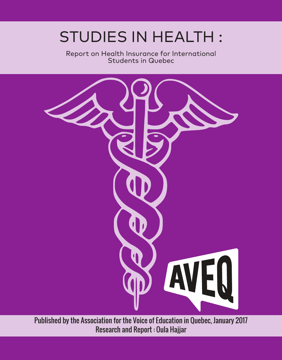# STUDIES IN HEALTH :

Report on Health Insurance for International Students in Quebec



Published by the Association for the Voice of Education in Quebec, January 2017 Research and Report : Oula Hajjar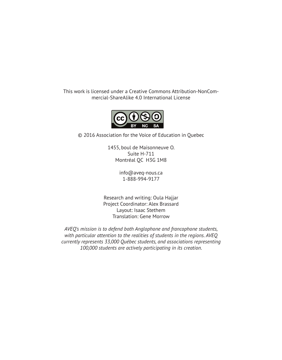This work is licensed under a Creative Commons Attribution-NonCommercial-ShareAlike 4.0 International License



© 2016 Association for the Voice of Education in Quebec

1455, boul de Maisonneuve O. Suite H-711 Montréal QC H3G 1M8

> info@aveq-nous.ca 1-888-994-9177

Research and writing: Oula Hajjar Project Coordinator: Alex Brassard Layout: Isaac Stethem Translation: Gene Morrow

*AVEQ's mission is to defend both Anglophone and francophone students, with particular attention to the realities of students in the regions. AVEQ currently represents 33,000 Québec students, and associations representing 100,000 students are actively participating in its creation.*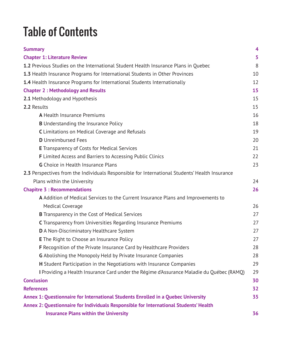## Table of Contents

| <b>Summary</b>                                                                                 | 4  |
|------------------------------------------------------------------------------------------------|----|
| <b>Chapter 1: Literature Review</b>                                                            | 5  |
| 1.2 Previous Studies on the International Student Health Insurance Plans in Quebec             | 8  |
| <b>1.3</b> Health Insurance Programs for International Students in Other Provinces             | 10 |
| 1.4 Health Insurance Programs for International Students Internationally                       | 12 |
| <b>Chapter 2: Methodology and Results</b>                                                      | 15 |
| 2.1 Methodology and Hypothesis                                                                 | 15 |
| 2.2 Results                                                                                    | 15 |
| A Health Insurance Premiums                                                                    | 16 |
| <b>B</b> Understanding the Insurance Policy                                                    | 18 |
| C Limitations on Medical Coverage and Refusals                                                 | 19 |
| <b>D</b> Unreimbursed Fees                                                                     | 20 |
| <b>E</b> Transparency of Costs for Medical Services                                            | 21 |
| <b>F</b> Limited Access and Barriers to Accessing Public Clinics                               | 22 |
| <b>G</b> Choice in Health Insurance Plans                                                      | 23 |
| 2.3 Perspectives from the Individuals Responsible for International Students' Health Insurance |    |
| Plans within the University                                                                    | 24 |
| <b>Chapitre 3: Recommendations</b>                                                             | 26 |
| A Addition of Medical Services to the Current Insurance Plans and Improvements to              |    |
| <b>Medical Coverage</b>                                                                        | 26 |
| <b>B</b> Transparency in the Cost of Medical Services                                          | 27 |
| C Transparency from Universities Regarding Insurance Premiums                                  | 27 |
| <b>D</b> A Non-Discriminatory Healthcare System                                                | 27 |
| <b>E</b> The Right to Choose an Insurance Policy                                               | 27 |
| <b>F</b> Recognition of the Private Insurance Card by Healthcare Providers                     | 28 |
| <b>G</b> Abolishing the Monopoly Held by Private Insurance Companies                           | 28 |
| <b>H</b> Student Participation in the Negotiations with Insurance Companies                    | 29 |
| I Providing a Health Insurance Card under the Régime d'Assurance Maladie du Québec (RAMQ)      | 29 |
| <b>Conclusion</b>                                                                              | 30 |
| <b>References</b>                                                                              | 32 |
| Annex 1: Questionnaire for International Students Enrolled in a Quebec University              | 35 |
| Annex 2: Questionnaire for Individuals Responsible for International Students' Health          |    |
| <b>Insurance Plans within the University</b>                                                   | 36 |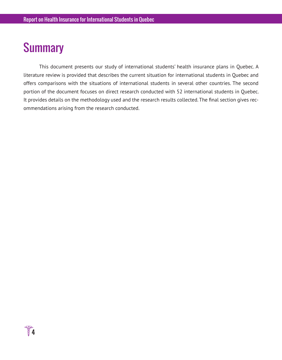## **Summary**

This document presents our study of international students' health insurance plans in Quebec. A literature review is provided that describes the current situation for international students in Quebec and offers comparisons with the situations of international students in several other countries. The second portion of the document focuses on direct research conducted with 52 international students in Quebec. It provides details on the methodology used and the research results collected. The final section gives recommendations arising from the research conducted.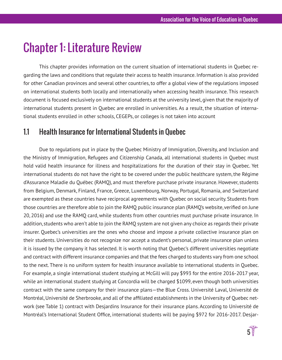## Chapter 1: Literature Review

This chapter provides information on the current situation of international students in Quebec regarding the laws and conditions that regulate their access to health insurance. Information is also provided for other Canadian provinces and several other countries, to offer a global view of the regulations imposed on international students both locally and internationally when accessing health insurance. This research document is focused exclusively on international students at the university level, given that the majority of international students present in Quebec are enrolled in universities. As a result, the situation of international students enrolled in other schools, CEGEPs, or colleges is not taken into account

### 1.1 Health Insurance for International Students in Quebec

Due to regulations put in place by the Quebec Ministry of Immigration, Diversity, and Inclusion and the Ministry of Immigration, Refugees and Citizenship Canada, all international students in Quebec must hold valid health insurance for illness and hospitalizations for the duration of their stay in Quebec. Yet international students do not have the right to be covered under the public healthcare system, the Régime d'Assurance Maladie du Québec (RAMQ), and must therefore purchase private insurance. However, students from Belgium, Denmark, Finland, France, Greece, Luxembourg, Norway, Portugal, Romania, and Switzerland are exempted as these countries have reciprocal agreements with Quebec on social security. Students from those countries are therefore able to join the RAMQ public insurance plan (RAMQ's website, verified on June 20, 2016) and use the RAMQ card, while students from other countries must purchase private insurance. In addition, students who aren't able to join the RAMQ system are not given any choice as regards their private insurer. Quebec's universities are the ones who choose and impose a private collective insurance plan on their students. Universities do not recognize nor accept a student's personal, private insurance plan unless it is issued by the company it has selected. It is worth noting that Quebec's different universities negotiate and contract with different insurance companies and that the fees charged to students vary from one school to the next. There is no uniform system for health insurance available to international students in Quebec. For example, a single international student studying at McGill will pay \$993 for the entire 2016-2017 year, while an international student studying at Concordia will be charged \$1099, even though both universities contract with the same company for their insurance plans—the Blue Cross. Université Laval, Université de Montréal, Université de Sherbrooke, and all of the affiliated establishments in the University of Quebec network (see Table 1) contract with Desjardins Insurance for their insurance plans. According to Université de Montréal's International Student Office, international students will be paying \$972 for 2016-2017. Desjar-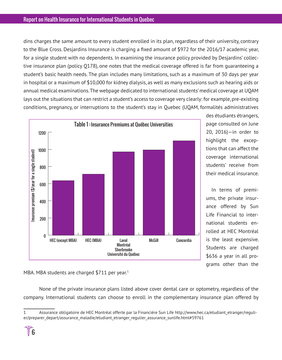dins charges the same amount to every student enrolled in its plan, regardless of their university, contrary to the Blue Cross. Desjardins Insurance is charging a fixed amount of \$972 for the 2016/17 academic year, for a single student with no dependents. In examining the insurance policy provided by Desjardins' collective insurance plan (policy Q178), one notes that the medical coverage offered is far from guaranteeing a student's basic health needs. The plan includes many limitations, such as a maximum of 30 days per year in hospital or a maximum of \$10,000 for kidney dialysis, as well as many exclusions such as hearing aids or annual medical examinations. The webpage dedicated to international students' medical coverage at UQAM lays out the situations that can restrict a student's access to coverage very clearly: for example, pre-existing conditions, pregnancy, or interruptions to the student's stay in Quebec (UQAM, formalités administratives



des étudiants étrangers, page consulted on June 20, 2016)—in order to highlight the exceptions that can affect the coverage international students' receive from their medical insurance.

In terms of premiums, the private insurance offered by Sun Life Financial to international students enrolled at HEC Montréal is the least expensive. Students are charged \$636 a year in all programs other than the

MBA. MBA students are charged \$711 per year.<sup>1</sup>

None of the private insurance plans listed above cover dental care or optometry, regardless of the company. International students can choose to enroll in the complementary insurance plan offered by

<sup>1</sup> Assurance obligatoire de HEC Montréal offerte par la Financière Sun Life http://www.hec.ca/etudiant\_etranger/regulier/preparer\_depart/assurance\_maladie/etudiant\_etranger\_regulier\_assurance\_sunlife.html#59761

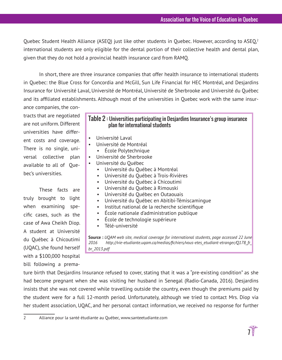Quebec Student Health Alliance (ASEQ) just like other students in Quebec. However, according to ASEQ.<sup>2</sup> international students are only eligible for the dental portion of their collective health and dental plan, given that they do not hold a provincial health insurance card from RAMQ.

In short, there are three insurance companies that offer health insurance to international students in Quebec: the Blue Cross for Concordia and McGill, Sun Life Financial for HEC Montréal, and Desjardins Insurance for Université Laval, Université de Montréal, Université de Sherbrooke and Université du Québec and its affiliated establishments. Although most of the universities in Quebec work with the same insur-

ance companies, the contracts that are negotiated are not uniform. Different universities have different costs and coverage. There is no single, universal collective plan available to all of Quebec's universities.

These facts are truly brought to light when examining specific cases, such as the case of Awa Cheikh Diop. A student at Université du Québec à Chicoutimi (UQAC), she found herself with a \$100,000 hospital bill following a prema-

#### Table 2 : Universities participating in Desjardins Insurance's group insurance plan for international students

- Université Laval
- Université de Montréal
	- École Polytechnique
- Université de Sherbrooke
- Université du Québec
	- Université du Québec à Montréal
	- Université du Québec à Trois-Rivières
	- Université du Québec à Chicoutimi
	- Université du Québec à Rimouski
	- Université du Québec en Outaouais
	- Université du Québec en Abitibi-Témiscamingue
	- Institut national de la recherche scientifique
	- École nationale d'administration publique
	- École de technologie supérieure
	- Télé-université

**Source :** *UQAM web site, medical coverage for international students, page accessed 22 June 2016 http://vie-etudiante.uqam.ca/medias/fichiers/vous-etes\_etudiant-etranger/Q178\_fr\_ br\_2013.pdf*

ture birth that Desjardins Insurance refused to cover, stating that it was a "pre-existing condition" as she had become pregnant when she was visiting her husband in Senegal (Radio-Canada, 2016). Desjardins insists that she was not covered while travelling outside the country, even though the premiums paid by the student were for a full 12-month period. Unfortunately, although we tried to contact Mrs. Diop via her student association, UQAC, and her personal contact information, we received no response for further

2 Alliance pour la santé étudiante au Québec, www.santeetudiante.com

7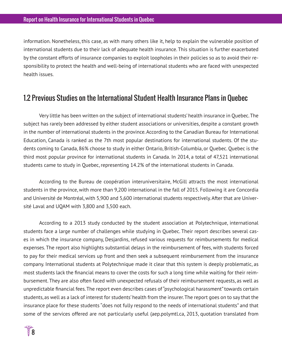information. Nonetheless, this case, as with many others like it, help to explain the vulnerable position of international students due to their lack of adequate health insurance. This situation is further exacerbated by the constant efforts of insurance companies to exploit loopholes in their policies so as to avoid their responsibility to protect the health and well-being of international students who are faced with unexpected health issues.

### 1.2 Previous Studies on the International Student Health Insurance Plans in Quebec

Very little has been written on the subject of international students' health insurance in Quebec. The subject has rarely been addressed by either student associations or universities, despite a constant growth in the number of international students in the province. According to the Canadian Bureau for International Education, Canada is ranked as the 7th most popular destinations for international students. Of the students coming to Canada, 86% choose to study in either Ontario, British-Columbia, or Quebec. Quebec is the third most popular province for international students in Canada. In 2014, a total of 47,521 international students came to study in Quebec, representing 14.2% of the international students in Canada.

According to the Bureau de coopération interuniversitaire, McGill attracts the most international students in the province, with more than 9,200 international in the fall of 2015. Following it are Concordia and Université de Montréal, with 5,900 and 5,600 international students respectively. After that are Université Laval and UQAM with 3,800 and 3,500 each.

According to a 2013 study conducted by the student association at Polytechnique, international students face a large number of challenges while studying in Quebec. Their report describes several cases in which the insurance company, Desjardins, refused various requests for reimbursements for medical expenses. The report also highlights substantial delays in the reimbursement of fees, with students forced to pay for their medical services up front and then seek a subsequent reimbursement from the insurance company. International students at Polytechnique made it clear that this system is deeply problematic, as most students lack the financial means to cover the costs for such a long time while waiting for their reimbursement. They are also often faced with unexpected refusals of their reimbursement requests, as well as unpredictable financial fees. The report even describes cases of "psychological harassment" towards certain students, as well as a lack of interest for students' health from the insurer. The report goes on to say that the insurance place for these students "does not fully respond to the needs of international students" and that some of the services offered are not particularly useful (aep.polymtl.ca, 2013, quotation translated from

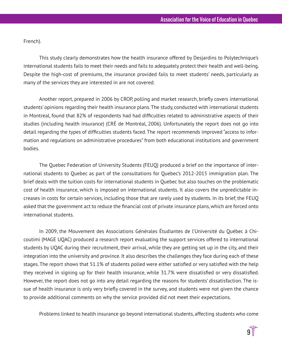French).

This study clearly demonstrates how the health insurance offered by Desjardins to Polytechnique's international students fails to meet their needs and fails to adequately protect their health and well-being. Despite the high-cost of premiums, the insurance provided fails to meet students' needs, particularly as many of the services they are interested in are not covered.

Another report, prepared in 2006 by CROP, polling and market research, briefly covers international students' opinions regarding their health insurance plans. The study, conducted with international students in Montreal, found that 82% of respondents had had difficulties related to administrative aspects of their studies (including health insurance) (CRÉ de Montréal, 2006). Unfortunately the report does not go into detail regarding the types of difficulties students faced. The report recommends improved "access to information and regulations on administrative procedures" from both educational institutions and government bodies.

The Quebec Federation of University Students (FEUQ) produced a brief on the importance of international students to Quebec as part of the consultations for Quebec's 2012-2015 immigration plan. The brief deals with the tuition costs for international students in Quebec but also touches on the problematic cost of health insurance, which is imposed on international students. It also covers the unpredictable increases in costs for certain services, including those that are rarely used by students. In its brief, the FEUQ asked that the government act to reduce the financial cost of private insurance plans, which are forced onto international students.

In 2009, the Mouvement des Associations Générales Étudiantes de l'Université du Québec à Chicoutimi (MAGE UQAC) produced a research report evaluating the support services offered to international students by UQAC during their recruitment, their arrival, while they are getting set up in the city, and their integration into the university and province. It also describes the challenges they face during each of these stages. The report shows that 51.1% of students polled were either satisfied or very satisfied with the help they received in signing up for their health insurance, while 31.7% were dissatisfied or very dissatisfied. However, the report does not go into any detail regarding the reasons for students' dissatisfaction. The issue of health insurance is only very briefly covered in the survey, and students were not given the chance to provide additional comments on why the service provided did not meet their expectations.

Problems linked to health insurance go beyond international students, affecting students who come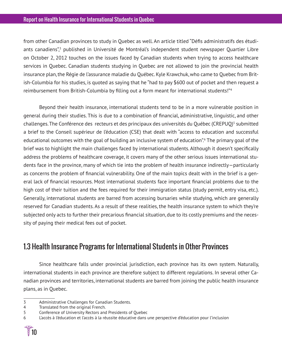from other Canadian provinces to study in Quebec as well. An article titled "Défis administratifs des étudiants canadiens",<sup>3</sup> published in Université de Montréal's independent student newspaper Quartier Libre on October 2, 2012 touches on the issues faced by Canadian students when trying to access healthcare services in Quebec. Canadian students studying in Quebec are not allowed to join the provincial health insurance plan, the Régie de l'assurance maladie du Québec. Kyle Krawchuk, who came to Quebec from British-Columbia for his studies, is quoted as saying that he "had to pay \$600 out of pocket and then request a reimbursement from British-Columbia by filling out a form meant for international students!"<sup>4</sup>

Beyond their health insurance, international students tend to be in a more vulnerable position in general during their studies. This is due to a combination of financial, administrative, linguistic, and other challenges. The Conférence des recteurs et des principaux des universités du Québec (CREPUQ)<sup>5</sup> submitted a brief to the Conseil supérieur de l'éducation (CSE) that dealt with "access to education and successful educational outcomes with the goal of building an inclusive system of education".6 The primary goal of the brief was to highlight the main challenges faced by international students. Although it doesn't specifically address the problems of healthcare coverage, it covers many of the other serious issues international students face in the province, many of which tie into the problem of health insurance indirectly—particularly as concerns the problem of financial vulnerability. One of the main topics dealt with in the brief is a general lack of financial resources. Most international students face important financial problems due to the high cost of their tuition and the fees required for their immigration status (study permit, entry visa, etc.). Generally, international students are barred from accessing bursaries while studying, which are generally reserved for Canadian students. As a result of these realities, the health insurance system to which they're subjected only acts to further their precarious financial situation, due to its costly premiums and the necessity of paying their medical fees out of pocket.

### 1.3 Health Insurance Programs for International Students in Other Provinces

Since healthcare falls under provincial jurisdiction, each province has its own system. Naturally, international students in each province are therefore subject to different regulations. In several other Canadian provinces and territories, international students are barred from joining the public health insurance plans, as in Quebec.

<sup>6</sup> L'accès à l'éducation et l'accès à la réussite éducative dans une perspective d'éducation pour l'inclusion



<sup>3</sup> Administrative Challenges for Canadian Students.

<sup>4</sup> Translated from the original French.

<sup>5</sup> Conference of University Rectors and Presidents of Quebec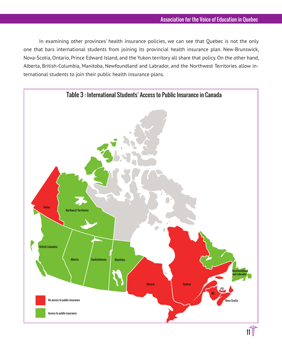In examining other provinces' health insurance policies, we can see that Quebec is not the only one that bars international students from joining its provincial health insurance plan. New-Brunswick, Nova-Scotia, Ontario, Prince Edward Island, and the Yukon territory all share that policy. On the other hand, Alberta, British-Columbia, Manitoba, Newfoundland and Labrador, and the Northwest Territories allow international students to join their public health insurance plans.

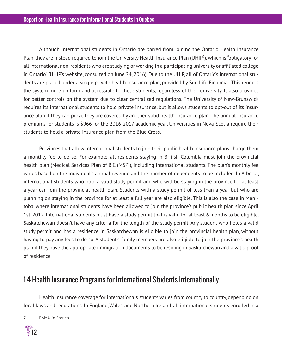Although international students in Ontario are barred from joining the Ontario Health Insurance Plan, they are instead required to join the University Health Insurance Plan (UHIP7 ), which is "obligatory for all international non-residents who are studying or working in a participating university or affiliated college in Ontario" (UHIP's website, consulted on June 24, 2016). Due to the UHIP, all of Ontario's international students are placed under a single private health insurance plan, provided by Sun Life Financial. This renders the system more uniform and accessible to these students, regardless of their university. It also provides for better controls on the system due to clear, centralized regulations. The University of New-Brunswick requires its international students to hold private insurance, but it allows students to opt-out of its insurance plan if they can prove they are covered by another, valid health insurance plan. The annual insurance premiums for students is \$966 for the 2016-2017 academic year. Universities in Nova-Scotia require their students to hold a private insurance plan from the Blue Cross.

Provinces that allow international students to join their public health insurance plans charge them a monthly fee to do so. For example, all residents staying in British-Columbia must join the provincial health plan (Medical Services Plan of B.C (MSP)), including international students. The plan's monthly fee varies based on the individual's annual revenue and the number of dependents to be included. In Alberta, international students who hold a valid study permit and who will be staying in the province for at least a year can join the provincial health plan. Students with a study permit of less than a year but who are planning on staying in the province for at least a full year are also eligible. This is also the case in Manitoba, where international students have been allowed to join the province's public health plan since April 1st, 2012. International students must have a study permit that is valid for at least 6 months to be eligible. Saskatchewan doesn't have any criteria for the length of the study permit. Any student who holds a valid study permit and has a residence in Saskatchewan is eligible to join the provincial health plan, without having to pay any fees to do so. A student's family members are also eligible to join the province's health plan if they have the appropriate immigration documents to be residing in Saskatchewan and a valid proof of residence.

### 1.4 Health Insurance Programs for International Students Internationally

Health insurance coverage for internationals students varies from country to country, depending on local laws and regulations. In England, Wales, and Northern Ireland, all international students enrolled in a

7 RAMU in French.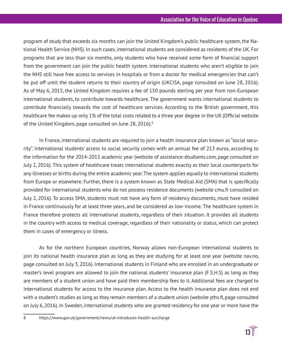program of study that exceeds six months can join the United Kingdom's public healthcare system, the National Health Service (NHS). In such cases, international students are considered as residents of the UK. For programs that are less than six months, only students who have received some form of financial support from the government can join the public health system. International students who aren't eligible to join the NHS still have free access to services in hospitals or from a doctor for medical emergencies that can't be put off until the student returns to their country of origin (UKCISA, page consulted on June 28, 2016). As of May 6, 2015, the United Kingdom requires a fee of 150 pounds sterling per year from non-European international students, to contribute towards healthcare. The government wants international students to contribute financially towards the cost of healthcare services. According to the British government, this healthcare fee makes up only 1% of the total costs related to a three year degree in the UK (Official website of the United Kingdom, page consulted on June 28, 2016).<sup>8</sup>

In France, international students are required to join a health insurance plan known as "social security". International students' access to social security comes with an annual fee of 213 euros, according to the information for the 2014-2015 academic year (website of assistance-étudiants.com, page consulted on July 2, 2016). This system of healthcare treats international students exactly as their local counterparts for any illnesses or births during the entire academic year. The system applies equally to international students from Europe or elsewhere. Further, there is a system known as State Medical Aid (SMA) that is specifically provided for international students who do not possess residence documents (website cmu.fr consulted on July 2, 2016). To access SMA, students must not have any form of residency documents, must have resided in France continuously for at least three years, and be considered as low-income. The healthcare system in France therefore protects all international students, regardless of their situation. It provides all students in the country with access to medical coverage, regardless of their nationality or status, which can protect them in cases of emergency or illness.

As for the northern European countries, Norway allows non-European international students to join its national health insurance plan as long as they are studying for at least one year (website nav.no, page consulted on July 3, 2016). International students in Finland who are enrolled in an undergraduate or master's level program are allowed to join the national students' insurance plan (F.S.H.S) as long as they are members of a student union and have paid their membership fees to it. Additional fees are charged to international students for access to the insurance plan. Access to the health insurance plan does not end with a student's studies as long as they remain members of a student union (website yths.fi, page consulted on July 6, 2016). In Sweden, international students who are granted residency for one year or more have the

8 https://www.gov.uk/government/news/uk-introduces-health-surcharge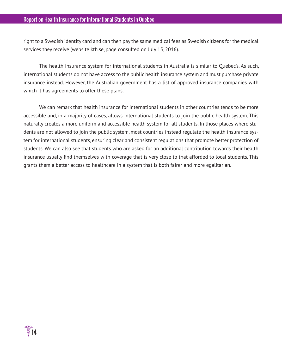right to a Swedish identity card and can then pay the same medical fees as Swedish citizens for the medical services they receive (website kth.se, page consulted on July 15, 2016).

The health insurance system for international students in Australia is similar to Quebec's. As such, international students do not have access to the public health insurance system and must purchase private insurance instead. However, the Australian government has a list of approved insurance companies with which it has agreements to offer these plans.

We can remark that health insurance for international students in other countries tends to be more accessible and, in a majority of cases, allows international students to join the public health system. This naturally creates a more uniform and accessible health system for all students. In those places where students are not allowed to join the public system, most countries instead regulate the health insurance system for international students, ensuring clear and consistent regulations that promote better protection of students. We can also see that students who are asked for an additional contribution towards their health insurance usually find themselves with coverage that is very close to that afforded to local students. This grants them a better access to healthcare in a system that is both fairer and more egalitarian.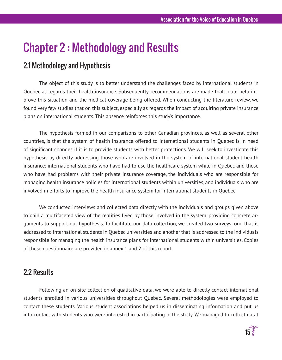## Chapter 2 : Methodology and Results

### 2.1 Methodology and Hypothesis

The object of this study is to better understand the challenges faced by international students in Quebec as regards their health insurance. Subsequently, recommendations are made that could help improve this situation and the medical coverage being offered. When conducting the literature review, we found very few studies that on this subject, especially as regards the impact of acquiring private insurance plans on international students. This absence reinforces this study's importance.

The hypothesis formed in our comparisons to other Canadian provinces, as well as several other countries, is that the system of health insurance offered to international students in Quebec is in need of significant changes if it is to provide students with better protections. We will seek to investigate this hypothesis by directly addressing those who are involved in the system of international student health insurance: international students who have had to use the healthcare system while in Quebec and those who have had problems with their private insurance coverage, the individuals who are responsible for managing health insurance policies for international students within universities, and individuals who are involved in efforts to improve the health insurance system for international students in Quebec.

We conducted interviews and collected data directly with the individuals and groups given above to gain a multifaceted view of the realities lived by those involved in the system, providing concrete arguments to support our hypothesis. To facilitate our data collection, we created two surveys: one that is addressed to international students in Quebec universities and another that is addressed to the individuals responsible for managing the health insurance plans for international students within universities. Copies of these questionnaire are provided in annex 1 and 2 of this report.

### 2.2 Results

Following an on-site collection of qualitative data, we were able to directly contact international students enrolled in various universities throughout Quebec. Several methodologies were employed to contact these students. Various student associations helped us in disseminating information and put us into contact with students who were interested in participating in the study. We managed to collect datat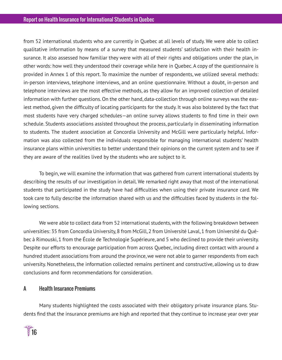from 52 international students who are currently in Quebec at all levels of study. We were able to collect qualitative information by means of a survey that measured students' satisfaction with their health insurance. It also assessed how familiar they were with all of their rights and obligations under the plan, in other words: how well they understood their coverage while here in Quebec. A copy of the questionnaire is provided in Annex 1 of this report. To maximize the number of respondents, we utilized several methods: in-person interviews, telephone interviews, and an online questionnaire. Without a doubt, in-person and telephone interviews are the most effective methods, as they allow for an improved collection of detailed information with further questions. On the other hand, data-collection through online surveys was the easiest method, given the difficulty of locating participants for the study. It was also bolstered by the fact that most students have very charged schedules—an online survey allows students to find time in their own schedule. Students associations assisted throughout the process, particularly in disseminating information to students. The student association at Concordia University and McGill were particularly helpful. Information was also collected from the individuals responsible for managing international students' health insurance plans within universities to better understand their opinions on the current system and to see if they are aware of the realities lived by the students who are subject to it.

To begin, we will examine the information that was gathered from current international students by describing the results of our investigation in detail. We remarked right away that most of the international students that participated in the study have had difficulties when using their private insurance card. We took care to fully describe the information shared with us and the difficulties faced by students in the following sections.

We were able to collect data from 52 international students, with the following breakdown between universities: 35 from Concordia University, 8 from McGill, 2 from Université Laval, 1 from Université du Québec à Rimouski, 1 from the École de Technologie Supérieure, and 5 who declined to provide their university. Despite our efforts to encourage participation from across Quebec, including direct contact with around a hundred student associations from around the province, we were not able to garner respondents from each university. Nonetheless, the information collected remains pertinent and constructive, allowing us to draw conclusions and form recommendations for consideration.

#### A Health Insurance Premiums

Many students highlighted the costs associated with their obligatory private insurance plans. Students find that the insurance premiums are high and reported that they continue to increase year over year

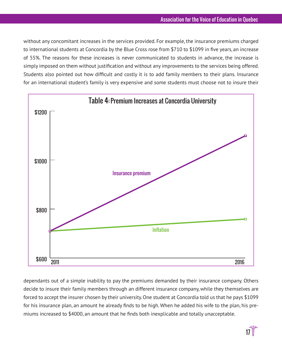without any concomitant increases in the services provided. For example, the insurance premiums charged to international students at Concordia by the Blue Cross rose from \$710 to \$1099 in five years, an increase of 55%. The reasons for these increases is never communicated to students in advance, the increase is simply imposed on them without justification and without any improvements to the services being offered. Students also pointed out how difficult and costly it is to add family members to their plans. Insurance for an international student's family is very expensive and some students must choose not to insure their



dependants out of a simple inability to pay the premiums demanded by their insurance company. Others decide to insure their family members through an different insurance company, while they themselves are forced to accept the insurer chosen by their university. One student at Concordia told us that he pays \$1099 for his insurance plan, an amount he already finds to be high. When he added his wife to the plan, his premiums increased to \$4000, an amount that he finds both inexplicable and totally unacceptable.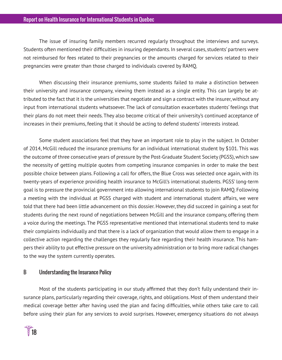The issue of insuring family members recurred regularly throughout the interviews and surveys. Students often mentioned their difficulties in insuring dependants. In several cases, students' partners were not reimbursed for fees related to their pregnancies or the amounts charged for services related to their pregnancies were greater than those charged to individuals covered by RAMQ.

When discussing their insurance premiums, some students failed to make a distinction between their university and insurance company, viewing them instead as a single entity. This can largely be attributed to the fact that it is the universities that negotiate and sign a contract with the insurer, without any input from international students whatsoever. The lack of consultation exacerbates students' feelings that their plans do not meet their needs. They also become critical of their university's continued acceptance of increases in their premiums, feeling that it should be acting to defend students' interests instead.

Some student associations feel that they have an important role to play in the subject. In October of 2014, McGill reduced the insurance premiums for an individual international student by \$101. This was the outcome of three consecutive years of pressure by the Post-Graduate Student Society (PGSS), which saw the necessity of getting multiple quotes from competing insurance companies in order to make the best possible choice between plans. Following a call for offers, the Blue Cross was selected once again, with its twenty-years of experience providing health insurance to McGill's international students. PGSS' long-term goal is to pressure the provincial government into allowing international students to join RAMQ. Following a meeting with the individual at PGSS charged with student and international student affairs, we were told that there had been little advancement on this dossier. However, they did succeed in gaining a seat for students during the next round of negotiations between McGill and the insurance company, offering them a voice during the meetings. The PGSS representative mentioned that international students tend to make their complaints individually and that there is a lack of organization that would allow them to engage in a collective action regarding the challenges they regularly face regarding their health insurance. This hampers their ability to put effective pressure on the university administration or to bring more radical changes to the way the system currently operates.

#### B Understanding the Insurance Policy

Most of the students participating in our study affirmed that they don't fully understand their insurance plans, particularly regarding their coverage, rights, and obligations. Most of them understand their medical coverage better after having used the plan and facing difficulties, while others take care to call before using their plan for any services to avoid surprises. However, emergency situations do not always

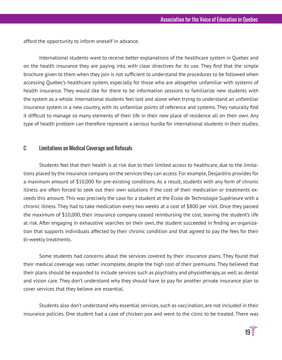afford the opportunity to inform oneself in advance.

International students want to receive better explanations of the healthcare system in Quebec and on the health insurance they are paying into, with clear directives for its use. They find that the simple brochure given to them when they join is not sufficient to understand the procedures to be followed when accessing Quebec's healthcare system, especially for those who are altogether unfamiliar with systems of health insurance. They would like for there to be information sessions to familiarize new students with the system as a whole. International students feel lost and alone when trying to understand an unfamiliar insurance system in a new country, with its unfamiliar points of reference and systems. They naturally find it difficult to manage so many elements of their life in their new place of residence all on their own. Any type of health problem can therefore represent a serious hurdle for international students in their studies.

#### C Limitations on Medical Coverage and Refusals

Students feel that their health is at risk due to their limited access to healthcare, due to the limitations placed by the insurance company on the services they can access. For example, Desjardins provides for a maximum amount of \$10,000 for pre-existing conditions. As a result, students with any form of chronic illness are often forced to seek out their own solutions if the cost of their medication or treatments exceeds this amount. This was precisely the case for a student at the École de Technologie Supérieure with a chronic illness. They had to take medication every two weeks at a cost of \$800 per visit. Once they passed the maximum of \$10,000, their insurance company ceased reimbursing the cost, leaving the student's life at risk. After engaging in exhaustive searches on their own, the student succeeded in finding an organization that supports individuals affected by their chronic condition and that agreed to pay the fees for their bi-weekly treatments.

Some students had concerns about the services covered by their insurance plans. They found that their medical coverage was rather incomplete, despite the high cost of their premiums. They believed that their plans should be expanded to include services such as psychiatry and physiotherapy, as well as dental and vision care. They don't understand why they should have to pay for another private insurance plan to cover services that they believe are essential.

Students also don't understand why essential services, such as vaccination, are not included in their insurance policies. One student had a case of chicken pox and went to the clinic to be treated. There was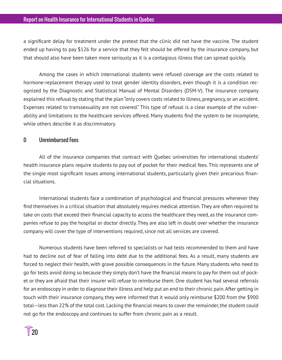a significant delay for treatment under the pretext that the clinic did not have the vaccine. The student ended up having to pay \$126 for a service that they felt should be offered by the insurance company, but that should also have been taken more seriously as it is a contagious illness that can spread quickly.

Among the cases in which international students were refused coverage are the costs related to hormone-replacement therapy used to treat gender identity disorders, even though it is a condition recognized by the Diagnostic and Statistical Manual of Mental Disorders (DSM-V). The insurance company explained this refusal by stating that the plan "only covers costs related to illness, pregnancy, or an accident. Expenses related to transsexuality are not covered." This type of refusal is a clear example of the vulnerability and limitations to the healthcare services offered. Many students find the system to be incomplete, while others describe it as discriminatory.

#### D Unreimbursed Fees

All of the insurance companies that contract with Quebec universities for international students' health insurance plans require students to pay out of pocket for their medical fees. This represents one of the single most significant issues among international students, particularly given their precarious financial situations.

International students face a combination of psychological and financial pressures whenever they find themselves in a critical situation that absolutely requires medical attention. They are often required to take on costs that exceed their financial capacity to access the healthcare they need, as the insurance companies refuse to pay the hospital or doctor directly. They are also left in doubt over whether the insurance company will cover the type of interventions required, since not all services are covered.

Numerous students have been referred to specialists or had tests recommended to them and have had to decline out of fear of falling into debt due to the additional fees. As a result, many students are forced to neglect their health, with grave possible consequences in the future. Many students who need to go for tests avoid doing so because they simply don't have the financial means to pay for them out of pocket or they are afraid that their insurer will refuse to reimburse them. One student has had several referrals for an endoscopy in order to diagnose their illness and help put an end to their chronic pain. After getting in touch with their insurance company, they were informed that it would only reimburse \$200 from the \$900 total—less than 22% of the total cost. Lacking the financial means to cover the remainder, the student could not go for the endoscopy and continues to suffer from chronic pain as a result.

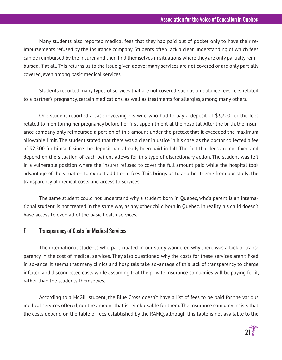Many students also reported medical fees that they had paid out of pocket only to have their reimbursements refused by the insurance company. Students often lack a clear understanding of which fees can be reimbursed by the insurer and then find themselves in situations where they are only partially reimbursed, if at all. This returns us to the issue given above: many services are not covered or are only partially covered, even among basic medical services.

Students reported many types of services that are not covered, such as ambulance fees, fees related to a partner's pregnancy, certain medications, as well as treatments for allergies, among many others.

One student reported a case involving his wife who had to pay a deposit of \$3,700 for the fees related to monitoring her pregnancy before her first appointment at the hospital. After the birth, the insurance company only reimbursed a portion of this amount under the pretext that it exceeded the maximum allowable limit. The student stated that there was a clear injustice in his case, as the doctor collected a fee of \$2,500 for himself, since the deposit had already been paid in full. The fact that fees are not fixed and depend on the situation of each patient allows for this type of discretionary action. The student was left in a vulnerable position where the insurer refused to cover the full amount paid while the hospital took advantage of the situation to extract additional fees. This brings us to another theme from our study: the transparency of medical costs and access to services.

The same student could not understand why a student born in Quebec, who's parent is an international student, is not treated in the same way as any other child born in Quebec. In reality, his child doesn't have access to even all of the basic health services.

#### E Transparency of Costs for Medical Services

The international students who participated in our study wondered why there was a lack of transparency in the cost of medical services. They also questioned why the costs for these services aren't fixed in advance. It seems that many clinics and hospitals take advantage of this lack of transparency to charge inflated and disconnected costs while assuming that the private insurance companies will be paying for it, rather than the students themselves.

According to a McGill student, the Blue Cross doesn't have a list of fees to be paid for the various medical services offered, nor the amount that is reimbursable for them. The insurance company insists that the costs depend on the table of fees established by the RAMQ, although this table is not available to the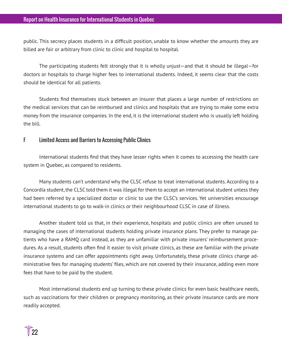public. This secrecy places students in a difficult position, unable to know whether the amounts they are billed are fair or arbitrary from clinic to clinic and hospital to hospital.

The participating students felt strongly that it is wholly unjust—and that it should be illegal—for doctors or hospitals to charge higher fees to international students. Indeed, it seems clear that the costs should be identical for all patients.

Students find themselves stuck between an insurer that places a large number of restrictions on the medical services that can be reimbursed and clinics and hospitals that are trying to make some extra money from the insurance companies. In the end, it is the international student who is usually left holding the bill.

#### F Limited Access and Barriers to Accessing Public Clinics

International students find that they have lesser rights when it comes to accessing the health care system in Quebec, as compared to residents.

Many students can't understand why the CLSC refuse to treat international students. According to a Concordia student, the CLSC told them it was illegal for them to accept an international student unless they had been referred by a specialized doctor or clinic to use the CLSC's services. Yet universities encourage international students to go to walk-in clinics or their neighbourhood CLSC in case of illness.

Another student told us that, in their experience, hospitals and public clinics are often unused to managing the cases of international students holding private insurance plans. They prefer to manage patients who have a RAMQ card instead, as they are unfamiliar with private insurers' reimbursement procedures. As a result, students often find it easier to visit private clinics, as these are familiar with the private insurance systems and can offer appointments right away. Unfortunately, these private clinics charge administrative fees for managing students' files, which are not covered by their insurance, adding even more fees that have to be paid by the student.

Most international students end up turning to these private clinics for even basic healthcare needs, such as vaccinations for their children or pregnancy monitoring, as their private insurance cards are more readily accepted.

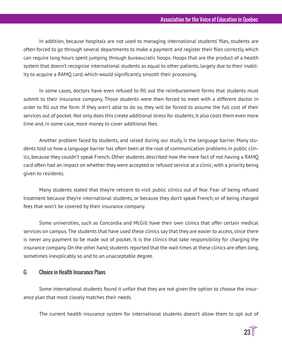In addition, because hospitals are not used to managing international students' files, students are often forced to go through several departments to make a payment and register their files correctly, which can require long hours spent jumping through bureaucratic hoops. Hoops that are the product of a health system that doesn't recognize international students as equal to other patients, largely due to their inability to acquire a RAMQ card, which would significantly smooth their processing.

In some cases, doctors have even refused to fill out the reimbursement forms that students must submit to their insurance company. Those students were then forced to meet with a different doctor in order to fill out the form. If they aren't able to do so, they will be forced to assume the full cost of their services out of pocket. Not only does this create additional stress for students, it also costs them even more time and, in some case, more money to cover additional fees.

Another problem faced by students, and raised during our study, is the language barrier. Many students told us how a language barrier has often been at the root of communication problems in public clinics, because they couldn't speak French. Other students described how the mere fact of not having a RAMQ card often had an impact on whether they were accepted or refused service at a clinic, with a priority being given to residents.

Many students stated that they're reticent to visit public clinics out of fear. Fear of being refused treatment because they're international students, or because they don't speak French, or of being charged fees that won't be covered by their insurance company.

Some universities, such as Concordia and McGill have their own clinics that offer certain medical services on campus. The students that have used these clinics say that they are easier to access, since there is never any payment to be made out of pocket. It is the clinics that take responsibility for charging the insurance company. On the other hand, students reported that the wait times at these clinics are often long, sometimes inexplicably so and to an unacceptable degree.

#### G Choice in Health Insurance Plans

Some international students found it unfair that they are not given the option to choose the insurance plan that most closely matches their needs.

The current health insurance system for international students doesn't allow them to opt out of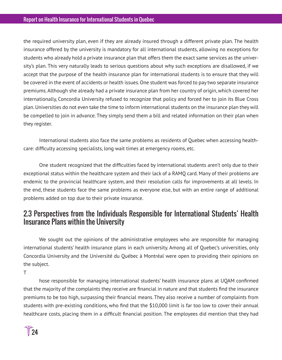the required university plan, even if they are already insured through a different private plan. The health insurance offered by the university is mandatory for all international students, allowing no exceptions for students who already hold a private insurance plan that offers them the exact same services as the university's plan. This very naturally leads to serious questions about why such exceptions are disallowed, if we accept that the purpose of the health insurance plan for international students is to ensure that they will be covered in the event of accidents or health issues. One student was forced to pay two separate insurance premiums. Although she already had a private insurance plan from her country of origin, which covered her internationally, Concordia University refused to recognize that policy and forced her to join its Blue Cross plan. Universities do not even take the time to inform international students on the insurance plan they will be compelled to join in advance. They simply send them a bill and related information on their plan when they register.

International students also face the same problems as residents of Quebec when accessing healthcare: difficulty accessing specialists, long wait times at emergency rooms, etc.

One student recognized that the difficulties faced by international students aren't only due to their exceptional status within the healthcare system and their lack of a RAMQ card. Many of their problems are endemic to the provincial healthcare system, and their resolution calls for improvements at all levels. In the end, these students face the same problems as everyone else, but with an entire range of additional problems added on top due to their private insurance.

### 2.3 Perspectives from the Individuals Responsible for International Students' Health Insurance Plans within the University

We sought out the opinions of the administrative employees who are responsible for managing international students' health insurance plans in each university. Among all of Quebec's universities, only Concordia University and the Université du Québec à Montréal were open to providing their opinions on the subject.

T

hose responsible for managing international students' health insurance plans at UQAM confirmed that the majority of the complaints they receive are financial in nature and that students find the insurance premiums to be too high, surpassing their financial means. They also receive a number of complaints from students with pre-existing conditions, who find that the \$10,000 limit is far too low to cover their annual healthcare costs, placing them in a difficult financial position. The employees did mention that they had

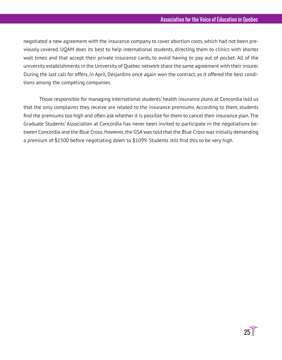negotiated a new agreement with the insurance company to cover abortion costs, which had not been previously covered. UQAM does its best to help international students, directing them to clinics with shorter wait times and that accept their private insurance cards, to avoid having to pay out of pocket. All of the university establishments in the University of Quebec network share the same agreement with their insurer. During the last call for offers, in April, Desjardins once again won the contract, as it offered the best conditions among the competing companies.

Those responsible for managing international students' health insurance plans at Concordia told us that the only complaints they receive are related to the insurance premiums. According to them, students find the premiums too high and often ask whether it is possible for them to cancel their insurance plan. The Graduate Students' Association at Concordia has never been invited to participate in the negotiations between Concordia and the Blue Cross. However, the GSA was told that the Blue Cross was initially demanding a premium of \$1500 before negotiating down to \$1099. Students still find this to be very high.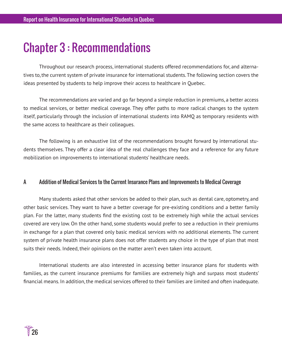## Chapter 3 : Recommendations

Throughout our research process, international students offered recommendations for, and alternatives to, the current system of private insurance for international students. The following section covers the ideas presented by students to help improve their access to healthcare in Quebec.

The recommendations are varied and go far beyond a simple reduction in premiums, a better access to medical services, or better medical coverage. They offer paths to more radical changes to the system itself, particularly through the inclusion of international students into RAMQ as temporary residents with the same access to healthcare as their colleagues.

The following is an exhaustive list of the recommendations brought forward by international students themselves. They offer a clear idea of the real challenges they face and a reference for any future mobilization on improvements to international students' healthcare needs.

#### A Addition of Medical Services to the Current Insurance Plans and Improvements to Medical Coverage

Many students asked that other services be added to their plan, such as dental care, optometry, and other basic services. They want to have a better coverage for pre-existing conditions and a better family plan. For the latter, many students find the existing cost to be extremely high while the actual services covered are very low. On the other hand, some students would prefer to see a reduction in their premiums in exchange for a plan that covered only basic medical services with no additional elements. The current system of private health insurance plans does not offer students any choice in the type of plan that most suits their needs. Indeed, their opinions on the matter aren't even taken into account.

International students are also interested in accessing better insurance plans for students with families, as the current insurance premiums for families are extremely high and surpass most students' financial means. In addition, the medical services offered to their families are limited and often inadequate.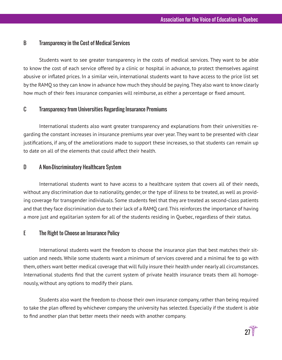#### B Transparency in the Cost of Medical Services

Students want to see greater transparency in the costs of medical services. They want to be able to know the cost of each service offered by a clinic or hospital in advance, to protect themselves against abusive or inflated prices. In a similar vein, international students want to have access to the price list set by the RAMQ so they can know in advance how much they should be paying. They also want to know clearly how much of their fees insurance companies will reimburse, as either a percentage or fixed amount.

#### C Transparency from Universities Regarding Insurance Premiums

International students also want greater transparency and explanations from their universities regarding the constant increases in insurance premiums year over year. They want to be presented with clear justifications, if any, of the ameliorations made to support these increases, so that students can remain up to date on all of the elements that could affect their health.

#### D A Non-Discriminatory Healthcare System

International students want to have access to a healthcare system that covers all of their needs, without any discrimination due to nationality, gender, or the type of illness to be treated, as well as providing coverage for transgender individuals. Some students feel that they are treated as second-class patients and that they face discrimination due to their lack of a RAMQ card. This reinforces the importance of having a more just and egalitarian system for all of the students residing in Quebec, regardless of their status.

#### E The Right to Choose an Insurance Policy

International students want the freedom to choose the insurance plan that best matches their situation and needs. While some students want a minimum of services covered and a minimal fee to go with them, others want better medical coverage that will fully insure their health under nearly all circumstances. International students find that the current system of private health insurance treats them all homogenously, without any options to modify their plans.

Students also want the freedom to choose their own insurance company, rather than being required to take the plan offered by whichever company the university has selected. Especially if the student is able to find another plan that better meets their needs with another company.

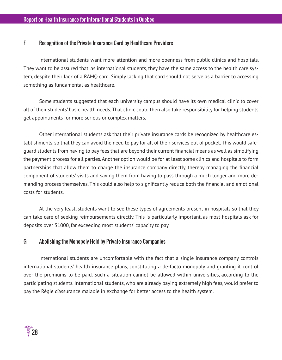#### F Recognition of the Private Insurance Card by Healthcare Providers

International students want more attention and more openness from public clinics and hospitals. They want to be assured that, as international students, they have the same access to the health care system, despite their lack of a RAMQ card. Simply lacking that card should not serve as a barrier to accessing something as fundamental as healthcare.

Some students suggested that each university campus should have its own medical clinic to cover all of their students' basic health needs. That clinic could then also take responsibility for helping students get appointments for more serious or complex matters.

Other international students ask that their private insurance cards be recognized by healthcare establishments, so that they can avoid the need to pay for all of their services out of pocket. This would safeguard students from having to pay fees that are beyond their current financial means as well as simplifying the payment process for all parties. Another option would be for at least some clinics and hospitals to form partnerships that allow them to charge the insurance company directly, thereby managing the financial component of students' visits and saving them from having to pass through a much longer and more demanding process themselves. This could also help to significantly reduce both the financial and emotional costs for students.

At the very least, students want to see these types of agreements present in hospitals so that they can take care of seeking reimbursements directly. This is particularly important, as most hospitals ask for deposits over \$1000, far exceeding most students' capacity to pay.

#### G Abolishing the Monopoly Held by Private Insurance Companies

International students are uncomfortable with the fact that a single insurance company controls international students' health insurance plans, constituting a de-facto monopoly and granting it control over the premiums to be paid. Such a situation cannot be allowed within universities, according to the participating students. International students, who are already paying extremely high fees, would prefer to pay the Régie d'assurance maladie in exchange for better access to the health system.

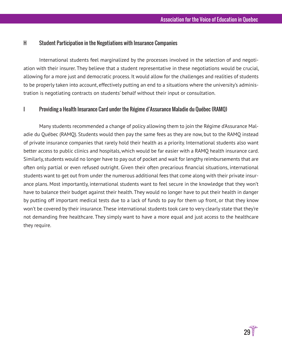#### H Student Participation in the Negotiations with Insurance Companies

International students feel marginalized by the processes involved in the selection of and negotiation with their insurer. They believe that a student representative in these negotiations would be crucial, allowing for a more just and democratic process. It would allow for the challenges and realities of students to be properly taken into account, effectively putting an end to a situations where the university's administration is negotiating contracts on students' behalf without their input or consultation.

#### I Providing a Health Insurance Card under the Régime d'Assurance Maladie du Québec (RAMQ)

Many students recommended a change of policy allowing them to join the Régime d'Assurance Maladie du Québec (RAMQ). Students would then pay the same fees as they are now, but to the RAMQ instead of private insurance companies that rarely hold their health as a priority. International students also want better access to public clinics and hospitals, which would be far easier with a RAMQ health insurance card. Similarly, students would no longer have to pay out of pocket and wait for lengthy reimbursements that are often only partial or even refused outright. Given their often precarious financial situations, international students want to get out from under the numerous additional fees that come along with their private insurance plans. Most importantly, international students want to feel secure in the knowledge that they won't have to balance their budget against their health. They would no longer have to put their health in danger by putting off important medical tests due to a lack of funds to pay for them up front, or that they know won't be covered by their insurance. These international students took care to very clearly state that they're not demanding free healthcare. They simply want to have a more equal and just access to the healthcare they require.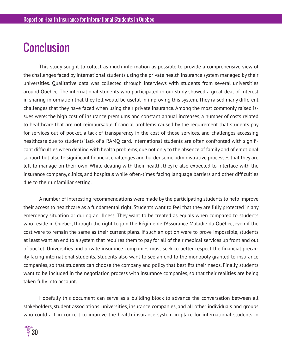### **Conclusion**

This study sought to collect as much information as possible to provide a comprehensive view of the challenges faced by international students using the private health insurance system managed by their universities. Qualitative data was collected through interviews with students from several universities around Quebec. The international students who participated in our study showed a great deal of interest in sharing information that they felt would be useful in improving this system. They raised many different challenges that they have faced when using their private insurance. Among the most commonly raised issues were: the high cost of insurance premiums and constant annual increases, a number of costs related to healthcare that are not reimbursable, financial problems caused by the requirement that students pay for services out of pocket, a lack of transparency in the cost of those services, and challenges accessing healthcare due to students' lack of a RAMQ card. International students are often confronted with significant difficulties when dealing with health problems, due not only to the absence of family and of emotional support but also to significant financial challenges and burdensome administrative processes that they are left to manage on their own. While dealing with their health, they're also expected to interface with the insurance company, clinics, and hospitals while often-times facing language barriers and other difficulties due to their unfamiliar setting.

A number of interesting recommendations were made by the participating students to help improve their access to healthcare as a fundamental right. Students want to feel that they are fully protected in any emergency situation or during an illness. They want to be treated as equals when compared to students who reside in Quebec, through the right to join the Régime de l'Assurance Maladie du Québec, even if the cost were to remain the same as their current plans. If such an option were to prove impossible, students at least want an end to a system that requires them to pay for all of their medical services up front and out of pocket. Universities and private insurance companies must seek to better respect the financial precarity facing international students. Students also want to see an end to the monopoly granted to insurance companies, so that students can choose the company and policy that best fits their needs. Finally, students want to be included in the negotiation process with insurance companies, so that their realities are being taken fully into account.

Hopefully this document can serve as a building block to advance the conversation between all stakeholders, student associations, universities, insurance companies, and all other individuals and groups who could act in concert to improve the health insurance system in place for international students in

30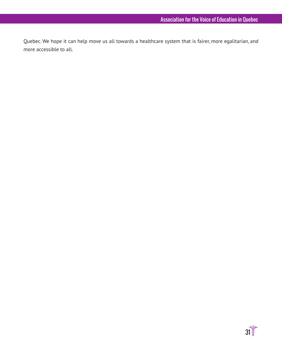Quebec. We hope it can help move us all towards a healthcare system that is fairer, more egalitarian, and more accessible to all.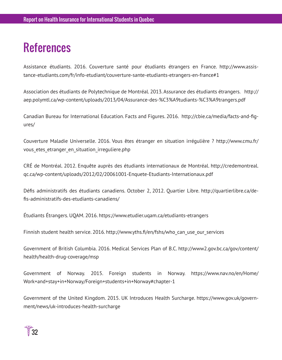## **References**

Assistance étudiants. 2016. Couverture santé pour étudiants étrangers en France. http://www.assistance-etudiants.com/fr/info-etudiant/couverture-sante-etudiants-etrangers-en-france#1

Association des étudiants de Polytechnique de Montréal. 2013. Assurance des étudiants étrangers. http:// aep.polymtl.ca/wp-content/uploads/2013/04/Assurance-des-%C3%A9tudiants-%C3%A9trangers.pdf

Canadian Bureau for International Education. Facts and Figures. 2016. http://cbie.ca/media/facts-and-figures/

Couverture Maladie Universelle. 2016. Vous êtes étranger en situation irrégulière ? http://www.cmu.fr/ vous etes etranger en situation irreguliere.php

CRÉ de Montréal. 2012. Enquête auprès des étudiants internationaux de Montréal. http://credemontreal. qc.ca/wp-content/uploads/2012/02/20061001-Enquete-Etudiants-Internationaux.pdf

Défis administratifs des étudiants canadiens. October 2, 2012. Quartier Libre. http://quartierlibre.ca/defis-administratifs-des-etudiants-canadiens/

Étudiants Étrangers. UQAM. 2016. https://www.etudier.uqam.ca/etudiants-etrangers

Finnish student health service. 2016. http://www.yths.fi/en/fshs/who\_can\_use\_our\_services

Government of British Columbia. 2016. Medical Services Plan of B.C. http://www2.gov.bc.ca/gov/content/ health/health-drug-coverage/msp

Government of Norway. 2015. Foreign students in Norway. https://www.nav.no/en/Home/ Work+and+stay+in+Norway/Foreign+students+in+Norway#chapter-1

Government of the United Kingdom. 2015. UK Introduces Health Surcharge. https://www.gov.uk/government/news/uk-introduces-health-surcharge

$$
\mathbf{32}
$$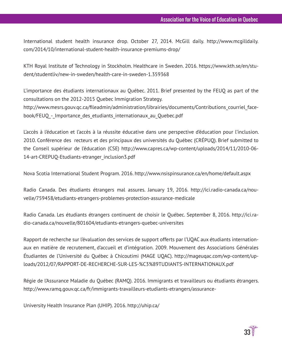International student health insurance drop. October 27, 2014. McGill daily. http://www.mcgilldaily. com/2014/10/international-student-health-insurance-premiums-drop/

KTH Royal Institute of Technology in Stockholm. Healthcare in Sweden. 2016. https://www.kth.se/en/student/studentliv/new-in-sweden/health-care-in-sweden-1.359368

L'importance des étudiants internationaux au Québec. 2011. Brief presented by the FEUQ as part of the consultations on the 2012-2015 Quebec Immigration Strategy. http://www.mesrs.gouv.qc.ca/fileadmin/administration/librairies/documents/Contributions\_courriel\_facebook/FEUQ - Importance des etudiants internationaux au Quebec.pdf

L'accès à l'éducation et l'accès à la réussite éducative dans une perspective d'éducation pour l'inclusion. 2010. Conférence des recteurs et des principaux des universités du Québec (CRÉPUQ). Brief submitted to the Conseil supérieur de l'éducation (CSE) http://www.capres.ca/wp-content/uploads/2014/11/2010-06- 14-art-CREPUQ-Etudiants-etranger\_inclusion3.pdf

Nova Scotia International Student Program. 2016. http://www.nsispinsurance.ca/en/home/default.aspx

Radio Canada. Des étudiants étrangers mal assures. January 19, 2016. http://ici.radio-canada.ca/nouvelle/759458/etudiants-etrangers-problemes-protection-assurance-medicale

Radio Canada. Les étudiants étrangers continuent de choisir le Québec. September 8, 2016. http://ici.radio-canada.ca/nouvelle/801604/etudiants-etrangers-quebec-universites

Rapport de recherche sur l'évaluation des services de support offerts par l'UQAC aux étudiants internationaux en matière de recrutement, d'accueil et d'intégration. 2009. Mouvement des Associations Générales Étudiantes de l'Université du Québec à Chicoutimi (MAGE UQAC). http://mageuqac.com/wp-content/uploads/2012/07/RAPPORT-DE-RECHERCHE-SUR-LES-%C3%89TUDIANTS-INTERNATIONAUX.pdf

Régie de l'Assurance Maladie du Québec (RAMQ). 2016. Immigrants et travailleurs ou étudiants étrangers. http://www.ramq.gouv.qc.ca/fr/immigrants-travailleurs-etudiants-etrangers/assurance-

University Health Insurance Plan (UHIP). 2016. http://uhip.ca/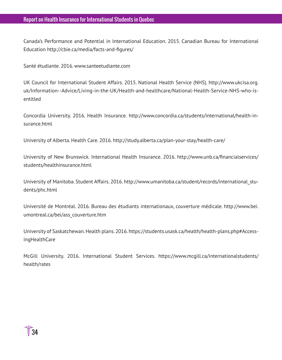Canada's Performance and Potential in International Education. 2015. Canadian Bureau for International Education http://cbie.ca/media/facts-and-figures/

Santé étudiante. 2016. www.santeetudiante.com

UK Council for International Student Affairs. 2015. National Health Service (NHS). http://www.ukcisa.org. uk/Information--Advice/Living-in-the-UK/Health-and-healthcare/National-Health-Service-NHS-who-isentitled

Concordia University. 2016. Health Insurance. http://www.concordia.ca/students/international/health-insurance.html

University of Alberta. Health Care. 2016. http://study.alberta.ca/plan-your-stay/health-care/

University of New Brunswick. International Health Insurance. 2016. http://www.unb.ca/financialservices/ students/healthinsurance.html

University of Manitoba. Student Affairs. 2016. http://www.umanitoba.ca/student/records/international\_students/phc.html

Université de Montréal. 2016. Bureau des étudiants internationaux, couverture médicale. http://www.bei. umontreal.ca/bei/ass\_couverture.htm

University of Saskatchewan. Health plans. 2016. https://students.usask.ca/health/health-plans.php#AccessingHealthCare

McGill University. 2016. International Student Services. https://www.mcgill.ca/internationalstudents/ health/rates

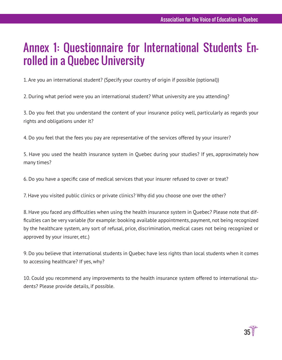35

## Annex 1: Questionnaire for International Students Enrolled in a Quebec University

1. Are you an international student? (Specify your country of origin if possible (optional))

2. During what period were you an international student? What university are you attending?

3. Do you feel that you understand the content of your insurance policy well, particularly as regards your rights and obligations under it?

4. Do you feel that the fees you pay are representative of the services offered by your insurer?

5. Have you used the health insurance system in Quebec during your studies? If yes, approximately how many times?

6. Do you have a specific case of medical services that your insurer refused to cover or treat?

7. Have you visited public clinics or private clinics? Why did you choose one over the other?

8. Have you faced any difficulties when using the health insurance system in Quebec? Please note that difficulties can be very variable (for example: booking available appointments, payment, not being recognized by the healthcare system, any sort of refusal, price, discrimination, medical cases not being recognized or approved by your insurer, etc.)

9. Do you believe that international students in Quebec have less rights than local students when it comes to accessing healthcare? If yes, why?

10. Could you recommend any improvements to the health insurance system offered to international students? Please provide details, if possible.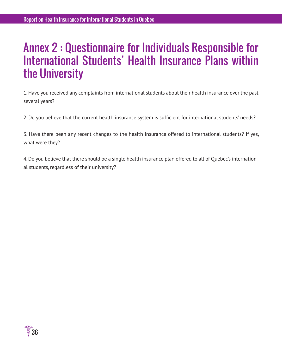## Annex 2 : Questionnaire for Individuals Responsible for International Students' Health Insurance Plans within the University

1. Have you received any complaints from international students about their health insurance over the past several years?

2. Do you believe that the current health insurance system is sufficient for international students' needs?

3. Have there been any recent changes to the health insurance offered to international students? If yes, what were they?

4. Do you believe that there should be a single health insurance plan offered to all of Quebec's international students, regardless of their university?

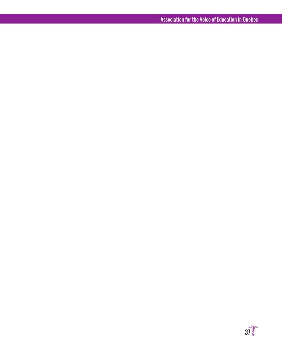